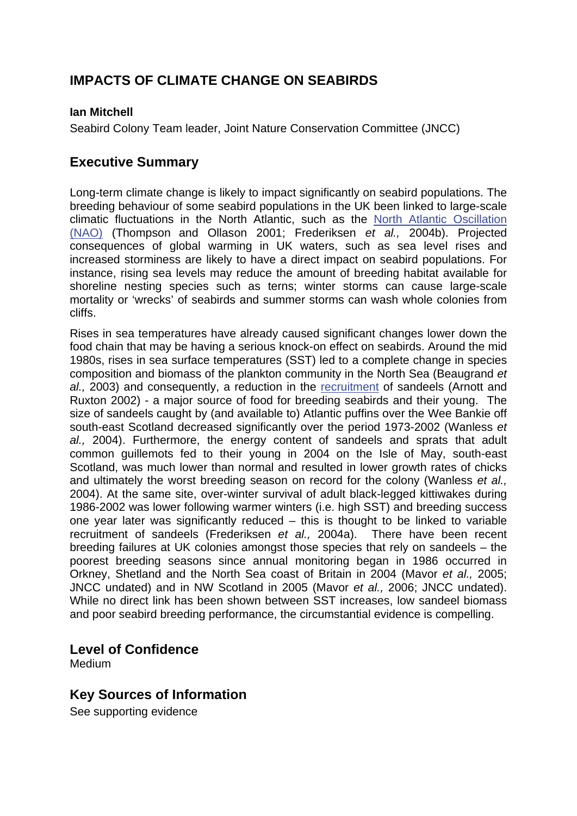# **IMPACTS OF CLIMATE CHANGE ON SEABIRDS**

### **Ian Mitchell**

Seabird Colony Team leader, Joint Nature Conservation Committee (JNCC)

## **Executive Summary**

Long-term climate change is likely to impact significantly on seabird populations. The breeding behaviour of some seabird populations in the UK been linked to large-scale climatic fluctuations in the North Atlantic, such as the [North Atlantic Oscillation](http://www.mccip.org.uk/arc/glossary.htm)  [\(NAO\)](http://www.mccip.org.uk/arc/glossary.htm) (Thompson and Ollason 2001; Frederiksen *et al.,* 2004b). Projected consequences of global warming in UK waters, such as sea level rises and increased storminess are likely to have a direct impact on seabird populations. For instance, rising sea levels may reduce the amount of breeding habitat available for shoreline nesting species such as terns; winter storms can cause large-scale mortality or 'wrecks' of seabirds and summer storms can wash whole colonies from cliffs.

Rises in sea temperatures have already caused significant changes lower down the food chain that may be having a serious knock-on effect on seabirds. Around the mid 1980s, rises in sea surface temperatures (SST) led to a complete change in species composition and biomass of the plankton community in the North Sea (Beaugrand *et al.,* 2003) and consequently, a reduction in the [recruitment](http://www.mccip.org.uk/arc/glossary.htm) of sandeels (Arnott and Ruxton 2002) - a major source of food for breeding seabirds and their young. The size of sandeels caught by (and available to) Atlantic puffins over the Wee Bankie off south-east Scotland decreased significantly over the period 1973-2002 (Wanless *et al.,* 2004). Furthermore, the energy content of sandeels and sprats that adult common guillemots fed to their young in 2004 on the Isle of May, south-east Scotland, was much lower than normal and resulted in lower growth rates of chicks and ultimately the worst breeding season on record for the colony (Wanless *et al.,* 2004). At the same site, over-winter survival of adult black-legged kittiwakes during 1986-2002 was lower following warmer winters (i.e. high SST) and breeding success one year later was significantly reduced – this is thought to be linked to variable recruitment of sandeels (Frederiksen *et al.,* 2004a). There have been recent breeding failures at UK colonies amongst those species that rely on sandeels – the poorest breeding seasons since annual monitoring began in 1986 occurred in Orkney, Shetland and the North Sea coast of Britain in 2004 (Mavor *et al.,* 2005; JNCC undated) and in NW Scotland in 2005 (Mavor *et al.,* 2006; JNCC undated). While no direct link has been shown between SST increases, low sandeel biomass and poor seabird breeding performance, the circumstantial evidence is compelling.

### **Level of Confidence**

Medium

## **Key Sources of Information**

See supporting evidence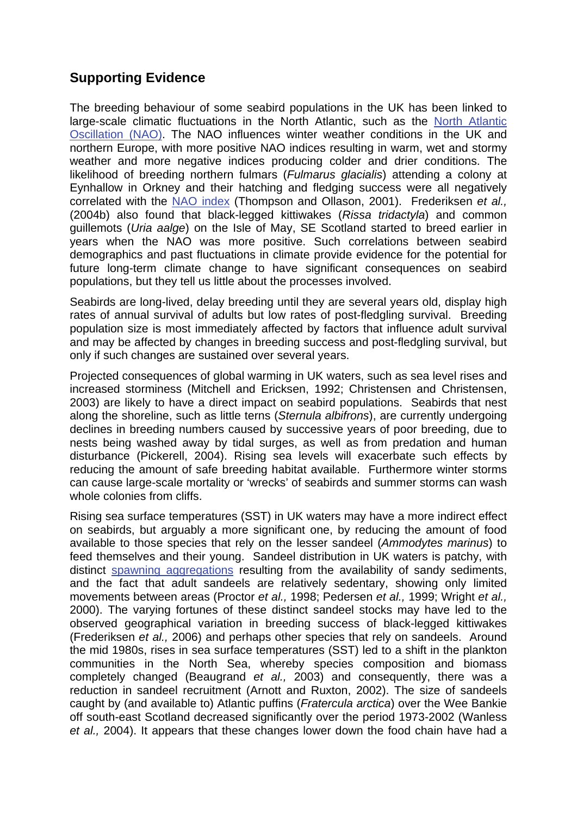# **Supporting Evidence**

The breeding behaviour of some seabird populations in the UK has been linked to large-scale climatic fluctuations in the North Atlantic, such as the [North Atlantic](http://www.mccip.org.uk/arc/glossary.htm)  [Oscillation \(NAO\).](http://www.mccip.org.uk/arc/glossary.htm) The NAO influences winter weather conditions in the UK and northern Europe, with more positive NAO indices resulting in warm, wet and stormy weather and more negative indices producing colder and drier conditions. The likelihood of breeding northern fulmars (*Fulmarus glacialis*) attending a colony at Eynhallow in Orkney and their hatching and fledging success were all negatively correlated with the [NAO index \(](http://www.mccip.org.uk/arc/glossary.htm)Thompson and Ollason, 2001). Frederiksen *et al.,*  (2004b) also found that black-legged kittiwakes (*Rissa tridactyla*) and common guillemots (*Uria aalge*) on the Isle of May, SE Scotland started to breed earlier in years when the NAO was more positive. Such correlations between seabird demographics and past fluctuations in climate provide evidence for the potential for future long-term climate change to have significant consequences on seabird populations, but they tell us little about the processes involved.

Seabirds are long-lived, delay breeding until they are several years old, display high rates of annual survival of adults but low rates of post-fledgling survival. Breeding population size is most immediately affected by factors that influence adult survival and may be affected by changes in breeding success and post-fledgling survival, but only if such changes are sustained over several years.

Projected consequences of global warming in UK waters, such as sea level rises and increased storminess (Mitchell and Ericksen, 1992; Christensen and Christensen, 2003) are likely to have a direct impact on seabird populations. Seabirds that nest along the shoreline, such as little terns (*Sternula albifrons*), are currently undergoing declines in breeding numbers caused by successive years of poor breeding, due to nests being washed away by tidal surges, as well as from predation and human disturbance (Pickerell, 2004). Rising sea levels will exacerbate such effects by reducing the amount of safe breeding habitat available. Furthermore winter storms can cause large-scale mortality or 'wrecks' of seabirds and summer storms can wash whole colonies from cliffs.

Rising sea surface temperatures (SST) in UK waters may have a more indirect effect on seabirds, but arguably a more significant one, by reducing the amount of food available to those species that rely on the lesser sandeel (*Ammodytes marinus*) to feed themselves and their young. Sandeel distribution in UK waters is patchy, with distinct [spawning aggregations](http://www.mccip.org.uk/arc/glossary.htm) resulting from the availability of sandy sediments, and the fact that adult sandeels are relatively sedentary, showing only limited movements between areas (Proctor *et al.,* 1998; Pedersen *et al.,* 1999; Wright *et al.,* 2000). The varying fortunes of these distinct sandeel stocks may have led to the observed geographical variation in breeding success of black-legged kittiwakes (Frederiksen *et al.,* 2006) and perhaps other species that rely on sandeels. Around the mid 1980s, rises in sea surface temperatures (SST) led to a shift in the plankton communities in the North Sea, whereby species composition and biomass completely changed (Beaugrand *et al.,* 2003) and consequently, there was a reduction in sandeel recruitment (Arnott and Ruxton, 2002). The size of sandeels caught by (and available to) Atlantic puffins (*Fratercula arctica*) over the Wee Bankie off south-east Scotland decreased significantly over the period 1973-2002 (Wanless *et al.,* 2004). It appears that these changes lower down the food chain have had a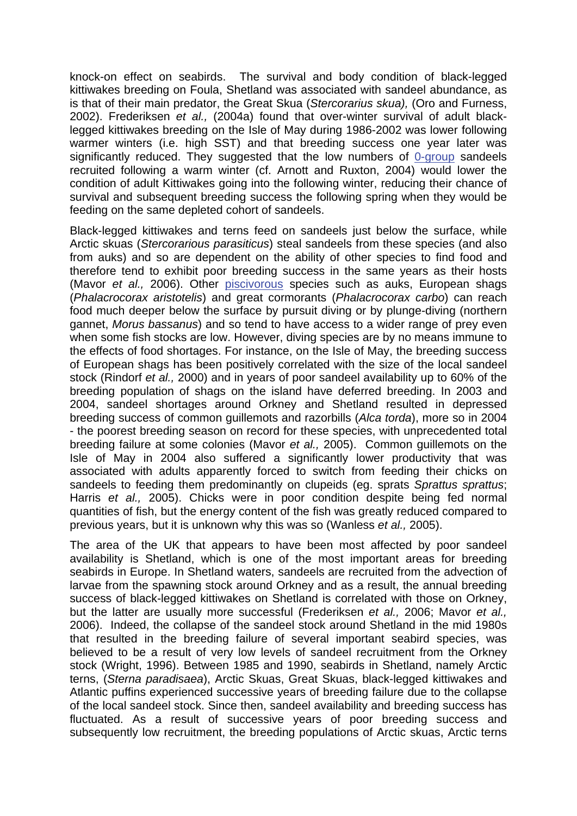knock-on effect on seabirds. The survival and body condition of black-legged kittiwakes breeding on Foula, Shetland was associated with sandeel abundance, as is that of their main predator, the Great Skua (*Stercorarius skua),* (Oro and Furness, 2002). Frederiksen *et al.,* (2004a) found that over-winter survival of adult blacklegged kittiwakes breeding on the Isle of May during 1986-2002 was lower following warmer winters (i.e. high SST) and that breeding success one year later was significantly reduced. They suggested that the low numbers of [0-group](http://www.mccip.org.uk/arc/glossary.htm) sandeels recruited following a warm winter (cf. Arnott and Ruxton, 2004) would lower the condition of adult Kittiwakes going into the following winter, reducing their chance of survival and subsequent breeding success the following spring when they would be feeding on the same depleted cohort of sandeels.

Black-legged kittiwakes and terns feed on sandeels just below the surface, while Arctic skuas (*Stercorarious parasiticus*) steal sandeels from these species (and also from auks) and so are dependent on the ability of other species to find food and therefore tend to exhibit poor breeding success in the same years as their hosts (Mavor *et al.,* 2006). Other [piscivorous](http://www.mccip.org.uk/arc/glossary.htm) species such as auks, European shags (*Phalacrocorax aristotelis*) and great cormorants (*Phalacrocorax carbo*) can reach food much deeper below the surface by pursuit diving or by plunge-diving (northern gannet, *Morus bassanus*) and so tend to have access to a wider range of prey even when some fish stocks are low. However, diving species are by no means immune to the effects of food shortages. For instance, on the Isle of May, the breeding success of European shags has been positively correlated with the size of the local sandeel stock (Rindorf *et al.,* 2000) and in years of poor sandeel availability up to 60% of the breeding population of shags on the island have deferred breeding. In 2003 and 2004, sandeel shortages around Orkney and Shetland resulted in depressed breeding success of common guillemots and razorbills (*Alca torda*), more so in 2004 - the poorest breeding season on record for these species, with unprecedented total breeding failure at some colonies (Mavor *et al.,* 2005). Common guillemots on the Isle of May in 2004 also suffered a significantly lower productivity that was associated with adults apparently forced to switch from feeding their chicks on sandeels to feeding them predominantly on clupeids (eg. sprats *Sprattus sprattus*; Harris *et al.,* 2005). Chicks were in poor condition despite being fed normal quantities of fish, but the energy content of the fish was greatly reduced compared to previous years, but it is unknown why this was so (Wanless *et al.,* 2005).

The area of the UK that appears to have been most affected by poor sandeel availability is Shetland, which is one of the most important areas for breeding seabirds in Europe. In Shetland waters, sandeels are recruited from the advection of larvae from the spawning stock around Orkney and as a result, the annual breeding success of black-legged kittiwakes on Shetland is correlated with those on Orkney, but the latter are usually more successful (Frederiksen *et al.,* 2006; Mavor *et al.,*  2006). Indeed, the collapse of the sandeel stock around Shetland in the mid 1980s that resulted in the breeding failure of several important seabird species, was believed to be a result of very low levels of sandeel recruitment from the Orkney stock (Wright, 1996). Between 1985 and 1990, seabirds in Shetland, namely Arctic terns, (*Sterna paradisaea*), Arctic Skuas, Great Skuas, black-legged kittiwakes and Atlantic puffins experienced successive years of breeding failure due to the collapse of the local sandeel stock. Since then, sandeel availability and breeding success has fluctuated. As a result of successive years of poor breeding success and subsequently low recruitment, the breeding populations of Arctic skuas, Arctic terns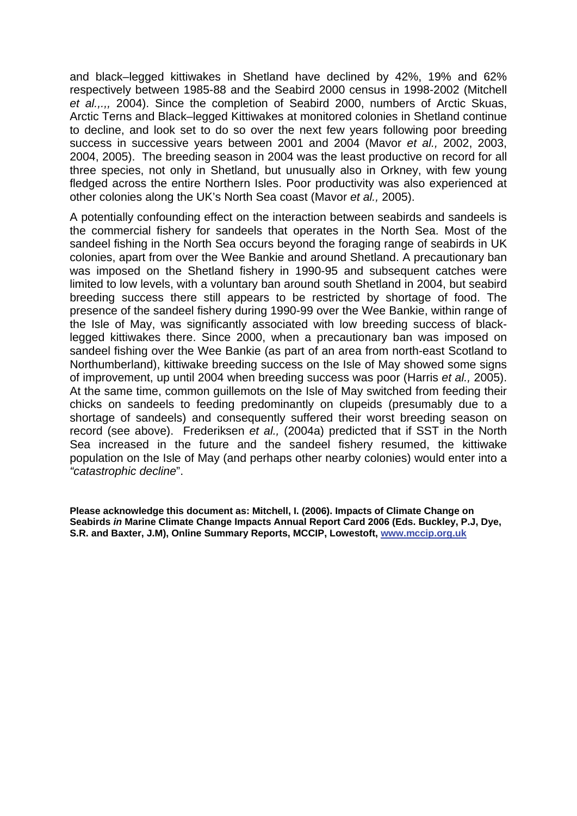and black–legged kittiwakes in Shetland have declined by 42%, 19% and 62% respectively between 1985-88 and the Seabird 2000 census in 1998-2002 (Mitchell *et al.,.,,* 2004). Since the completion of Seabird 2000, numbers of Arctic Skuas, Arctic Terns and Black–legged Kittiwakes at monitored colonies in Shetland continue to decline, and look set to do so over the next few years following poor breeding success in successive years between 2001 and 2004 (Mavor *et al.,* 2002, 2003, 2004, 2005). The breeding season in 2004 was the least productive on record for all three species, not only in Shetland, but unusually also in Orkney, with few young fledged across the entire Northern Isles. Poor productivity was also experienced at other colonies along the UK's North Sea coast (Mavor *et al.,* 2005).

A potentially confounding effect on the interaction between seabirds and sandeels is the commercial fishery for sandeels that operates in the North Sea. Most of the sandeel fishing in the North Sea occurs beyond the foraging range of seabirds in UK colonies, apart from over the Wee Bankie and around Shetland. A precautionary ban was imposed on the Shetland fishery in 1990-95 and subsequent catches were limited to low levels, with a voluntary ban around south Shetland in 2004, but seabird breeding success there still appears to be restricted by shortage of food. The presence of the sandeel fishery during 1990-99 over the Wee Bankie, within range of the Isle of May, was significantly associated with low breeding success of blacklegged kittiwakes there. Since 2000, when a precautionary ban was imposed on sandeel fishing over the Wee Bankie (as part of an area from north-east Scotland to Northumberland), kittiwake breeding success on the Isle of May showed some signs of improvement, up until 2004 when breeding success was poor (Harris *et al.,* 2005). At the same time, common guillemots on the Isle of May switched from feeding their chicks on sandeels to feeding predominantly on clupeids (presumably due to a shortage of sandeels) and consequently suffered their worst breeding season on record (see above). Frederiksen *et al.,* (2004a) predicted that if SST in the North Sea increased in the future and the sandeel fishery resumed, the kittiwake population on the Isle of May (and perhaps other nearby colonies) would enter into a *"catastrophic decline*".

**Please acknowledge this document as: Mitchell, I. (2006). Impacts of Climate Change on Seabirds** *in* **Marine Climate Change Impacts Annual Report Card 2006 (Eds. Buckley, P.J, Dye, S.R. and Baxter, J.M), Online Summary Reports, MCCIP, Lowestoft, [www.mccip.org.uk](http://www.mccip.org.uk/)**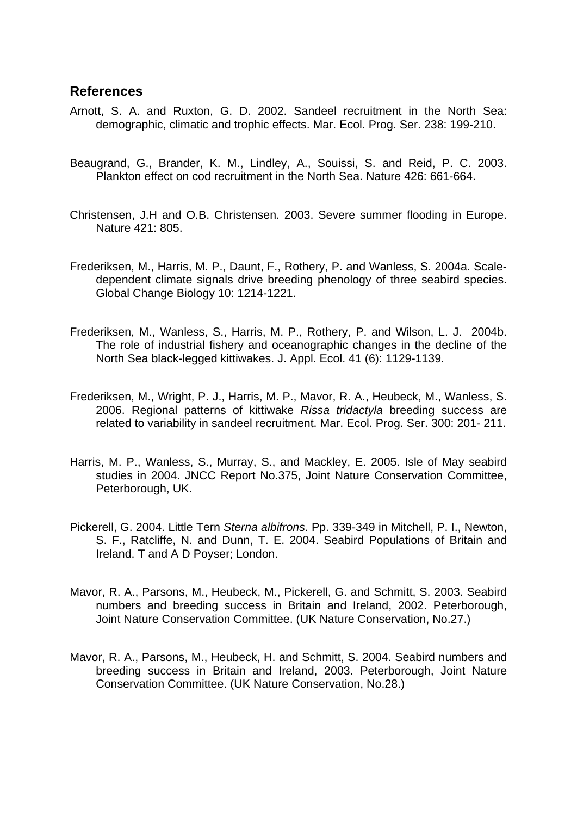### **References**

- Arnott, S. A. and Ruxton, G. D. 2002. Sandeel recruitment in the North Sea: demographic, climatic and trophic effects. Mar. Ecol. Prog. Ser. 238: 199-210.
- Beaugrand, G., Brander, K. M., Lindley, A., Souissi, S. and Reid, P. C. 2003. Plankton effect on cod recruitment in the North Sea. Nature 426: 661-664.
- Christensen, J.H and O.B. Christensen. 2003. Severe summer flooding in Europe. Nature 421: 805.
- Frederiksen, M., Harris, M. P., Daunt, F., Rothery, P. and Wanless, S. 2004a. Scaledependent climate signals drive breeding phenology of three seabird species. Global Change Biology 10: 1214-1221.
- Frederiksen, M., Wanless, S., Harris, M. P., Rothery, P. and Wilson, L. J. 2004b. The role of industrial fishery and oceanographic changes in the decline of the North Sea black-legged kittiwakes. J. Appl. Ecol. 41 (6): 1129-1139.
- Frederiksen, M., Wright, P. J., Harris, M. P., Mavor, R. A., Heubeck, M., Wanless, S. 2006. Regional patterns of kittiwake *Rissa tridactyla* breeding success are related to variability in sandeel recruitment. Mar. Ecol. Prog. Ser. 300: 201- 211.
- Harris, M. P., Wanless, S., Murray, S., and Mackley, E. 2005. Isle of May seabird studies in 2004. JNCC Report No.375, Joint Nature Conservation Committee, Peterborough, UK.
- Pickerell, G. 2004. Little Tern *Sterna albifrons*. Pp. 339-349 in Mitchell, P. I., Newton, S. F., Ratcliffe, N. and Dunn, T. E. 2004. Seabird Populations of Britain and Ireland. T and A D Poyser; London.
- Mavor, R. A., Parsons, M., Heubeck, M., Pickerell, G. and Schmitt, S. 2003. Seabird numbers and breeding success in Britain and Ireland, 2002. Peterborough, Joint Nature Conservation Committee. (UK Nature Conservation, No.27.)
- Mavor, R. A., Parsons, M., Heubeck, H. and Schmitt, S. 2004. Seabird numbers and breeding success in Britain and Ireland, 2003. Peterborough, Joint Nature Conservation Committee. (UK Nature Conservation, No.28.)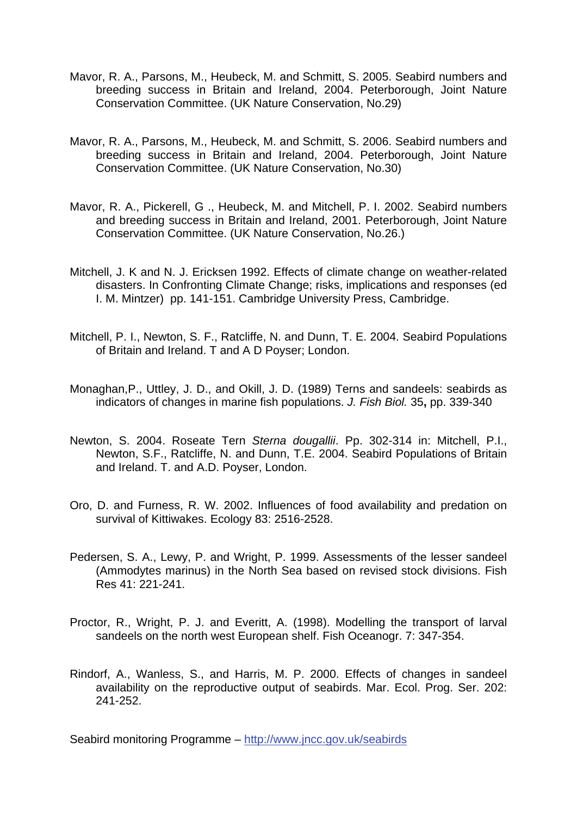- Mavor, R. A., Parsons, M., Heubeck, M. and Schmitt, S. 2005. Seabird numbers and breeding success in Britain and Ireland, 2004. Peterborough, Joint Nature Conservation Committee. (UK Nature Conservation, No.29)
- Mavor, R. A., Parsons, M., Heubeck, M. and Schmitt, S. 2006. Seabird numbers and breeding success in Britain and Ireland, 2004. Peterborough, Joint Nature Conservation Committee. (UK Nature Conservation, No.30)
- Mavor, R. A., Pickerell, G ., Heubeck, M. and Mitchell, P. I. 2002. Seabird numbers and breeding success in Britain and Ireland, 2001. Peterborough, Joint Nature Conservation Committee. (UK Nature Conservation, No.26.)
- Mitchell, J. K and N. J. Ericksen 1992. Effects of climate change on weather-related disasters. In Confronting Climate Change; risks, implications and responses (ed I. M. Mintzer) pp. 141-151. Cambridge University Press, Cambridge.
- Mitchell, P. I., Newton, S. F., Ratcliffe, N. and Dunn, T. E. 2004. Seabird Populations of Britain and Ireland. T and A D Poyser; London.
- Monaghan,P., Uttley, J. D., and Okill, J. D. (1989) Terns and sandeels: seabirds as indicators of changes in marine fish populations. *J. Fish Biol.* 35**,** pp. 339-340
- Newton, S. 2004. Roseate Tern *Sterna dougallii*. Pp. 302-314 in: Mitchell, P.I., Newton, S.F., Ratcliffe, N. and Dunn, T.E. 2004. Seabird Populations of Britain and Ireland. T. and A.D. Poyser, London.
- Oro, D. and Furness, R. W. 2002. Influences of food availability and predation on survival of Kittiwakes. Ecology 83: 2516-2528.
- Pedersen, S. A., Lewy, P. and Wright, P. 1999. Assessments of the lesser sandeel (Ammodytes marinus) in the North Sea based on revised stock divisions. Fish Res 41: 221-241.
- Proctor, R., Wright, P. J. and Everitt, A. (1998). Modelling the transport of larval sandeels on the north west European shelf. Fish Oceanogr. 7: 347-354.
- Rindorf, A., Wanless, S., and Harris, M. P. 2000. Effects of changes in sandeel availability on the reproductive output of seabirds. Mar. Ecol. Prog. Ser. 202: 241-252.

Seabird monitoring Programme –<http://www.jncc.gov.uk/seabirds>